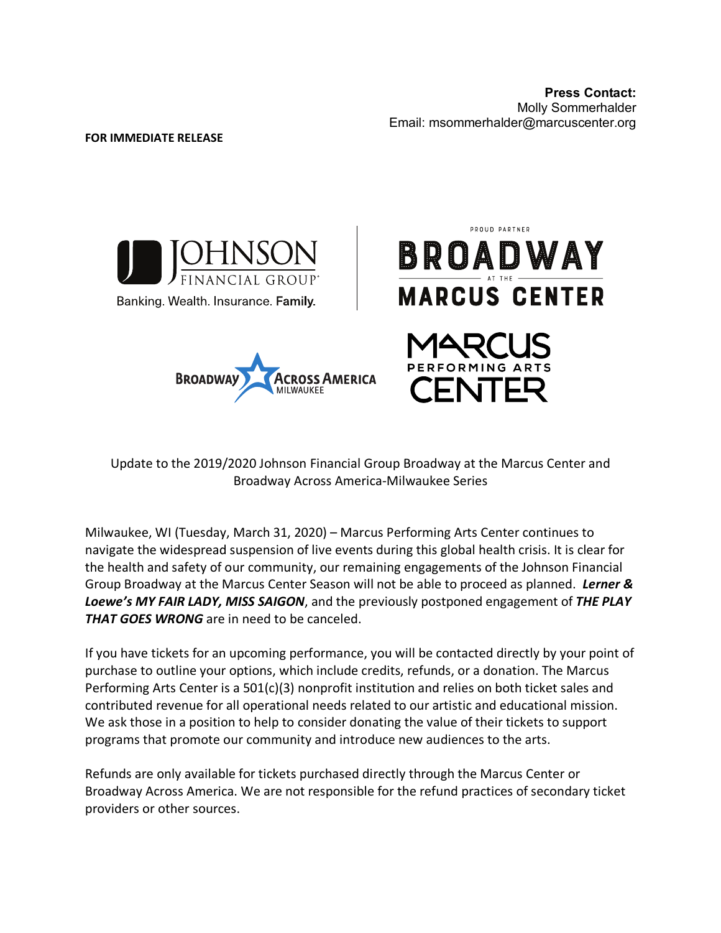## **FOR IMMEDIATE RELEASE**





Update to the 2019/2020 Johnson Financial Group Broadway at the Marcus Center and Broadway Across America-Milwaukee Series

**CROSS AMERICA** 

Milwaukee, WI (Tuesday, March 31, 2020) – Marcus Performing Arts Center continues to navigate the widespread suspension of live events during this global health crisis. It is clear for the health and safety of our community, our remaining engagements of the Johnson Financial Group Broadway at the Marcus Center Season will not be able to proceed as planned. *Lerner & Loewe's MY FAIR LADY, MISS SAIGON*, and the previously postponed engagement of *THE PLAY THAT GOES WRONG* are in need to be canceled.

If you have tickets for an upcoming performance, you will be contacted directly by your point of purchase to outline your options, which include credits, refunds, or a donation. The Marcus Performing Arts Center is a 501(c)(3) nonprofit institution and relies on both ticket sales and contributed revenue for all operational needs related to our artistic and educational mission. We ask those in a position to help to consider donating the value of their tickets to support programs that promote our community and introduce new audiences to the arts.

Refunds are only available for tickets purchased directly through the Marcus Center or Broadway Across America. We are not responsible for the refund practices of secondary ticket providers or other sources.